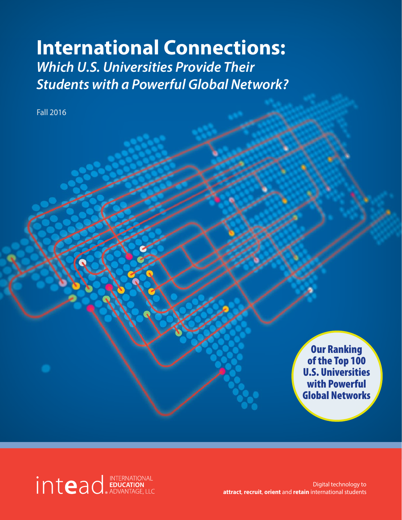# **International Connections:** *Which U.S. Universities Provide Their Students with a Powerful Global Network?*

Fall 2016

Our Ranking of the Top 100 U.S. Universities with Powerful Global Networks

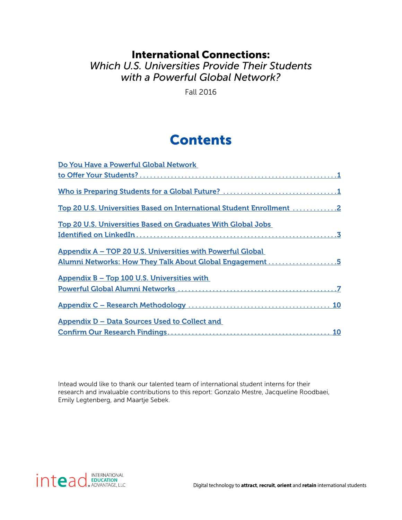### International Connections: *Which U.S. Universities Provide Their Students with a Powerful Global Network?*

Fall 2016

## Contents

| Do You Have a Powerful Global Network                                |
|----------------------------------------------------------------------|
|                                                                      |
|                                                                      |
| Top 20 U.S. Universities Based on International Student Enrollment 2 |
| <b>Top 20 U.S. Universities Based on Graduates With Global Jobs</b>  |
|                                                                      |
| Appendix A - TOP 20 U.S. Universities with Powerful Global           |
| Alumni Networks: How They Talk About Global Engagement 5             |
| Appendix B - Top 100 U.S. Universities with                          |
|                                                                      |
|                                                                      |
| Appendix D – Data Sources Used to Collect and                        |
|                                                                      |

Intead would like to thank our talented team of international student interns for their research and invaluable contributions to this report: Gonzalo Mestre, Jacqueline Roodbaei, Emily Legtenberg, and Maartje Sebek.

intead **EDUCATION**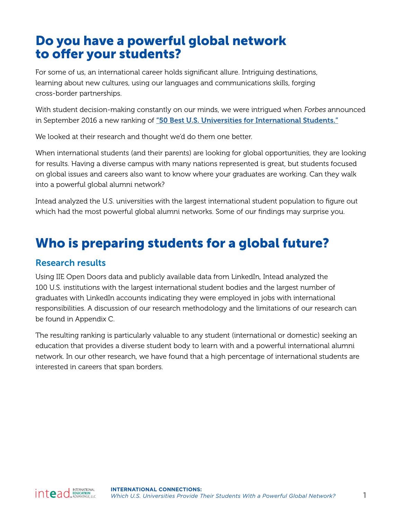## <span id="page-2-0"></span>Do you have a powerful global network to offer your students?

For some of us, an international career holds significant allure. Intriguing destinations, learning about new cultures, using our languages and communications skills, forging cross-border partnerships.

With student decision-making constantly on our minds, we were intrigued when Forbes announced in September 2016 a new ranking of ["50 Best U.S. Universities for International Students."](http://www.forbes.com/sites/carolinehoward/2016/09/28/50-best-u-s-colleges-for-international-students-2016/#4a9670d61c8e)

We looked at their research and thought we'd do them one better.

When international students (and their parents) are looking for global opportunities, they are looking for results. Having a diverse campus with many nations represented is great, but students focused on global issues and careers also want to know where your graduates are working. Can they walk into a powerful global alumni network?

Intead analyzed the U.S. universities with the largest international student population to figure out which had the most powerful global alumni networks. Some of our findings may surprise you.

## Who is preparing students for a global future?

#### Research results

Using IIE Open Doors data and publicly available data from LinkedIn, Intead analyzed the 100 U.S. institutions with the largest international student bodies and the largest number of graduates with LinkedIn accounts indicating they were employed in jobs with international responsibilities. A discussion of our research methodology and the limitations of our research can be found in Appendix C.

The resulting ranking is particularly valuable to any student (international or domestic) seeking an education that provides a diverse student body to learn with and a powerful international alumni network. In our other research, we have found that a high percentage of international students are interested in careers that span borders.

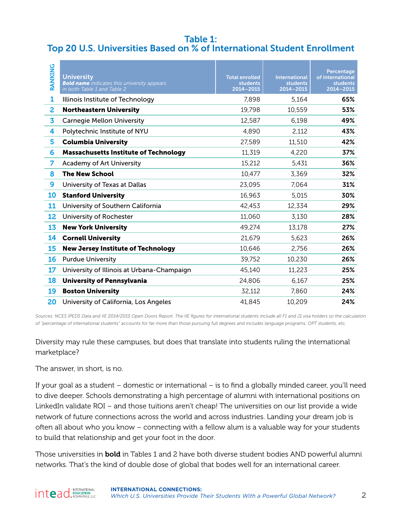#### <span id="page-3-0"></span>Table 1: Top 20 U.S. Universities Based on % of International Student Enrollment

| <b>RANKING</b> | <b>University</b><br><b>Bold name</b> indicates this university appears<br>in both Table 1 and Table 2 | <b>Total enrolled</b><br><b>students</b><br>2014-2015 | <b>International</b><br><b>students</b><br>2014-2015 | Percentage<br>of international<br>students<br>2014-2015 |
|----------------|--------------------------------------------------------------------------------------------------------|-------------------------------------------------------|------------------------------------------------------|---------------------------------------------------------|
| 1              | Illinois Institute of Technology                                                                       | 7,898                                                 | 5,164                                                | 65%                                                     |
| 2              | <b>Northeastern University</b>                                                                         | 19,798                                                | 10,559                                               | 53%                                                     |
| 3              | <b>Carnegie Mellon University</b>                                                                      | 12,587                                                | 6,198                                                | 49%                                                     |
| 4              | Polytechnic Institute of NYU                                                                           | 4,890                                                 | 2,112                                                | 43%                                                     |
| 5              | <b>Columbia University</b>                                                                             | 27,589                                                | 11,510                                               | 42%                                                     |
| 6              | <b>Massachusetts Institute of Technology</b>                                                           | 11,319                                                | 4,220                                                | 37%                                                     |
| 7              | <b>Academy of Art University</b>                                                                       | 15,212                                                | 5,431                                                | 36%                                                     |
| 8              | <b>The New School</b>                                                                                  | 10,477                                                | 3,369                                                | 32%                                                     |
| 9              | University of Texas at Dallas                                                                          | 23,095                                                | 7,064                                                | 31%                                                     |
| 10             | <b>Stanford University</b>                                                                             | 16,963                                                | 5,015                                                | 30%                                                     |
| 11             | University of Southern California                                                                      | 42,453                                                | 12,334                                               | 29%                                                     |
| 12             | University of Rochester                                                                                | 11,060                                                | 3,130                                                | 28%                                                     |
| 13             | <b>New York University</b>                                                                             | 49,274                                                | 13,178                                               | 27%                                                     |
| 14             | <b>Cornell University</b>                                                                              | 21,679                                                | 5,623                                                | 26%                                                     |
| 15             | <b>New Jersey Institute of Technology</b>                                                              | 10,646                                                | 2,756                                                | 26%                                                     |
| 16             | <b>Purdue University</b>                                                                               | 39,752                                                | 10,230                                               | 26%                                                     |
| 17             | University of Illinois at Urbana-Champaign                                                             | 45,140                                                | 11,223                                               | 25%                                                     |
| 18             | <b>University of Pennsylvania</b>                                                                      | 24,806                                                | 6,167                                                | 25%                                                     |
| 19             | <b>Boston University</b>                                                                               | 32,112                                                | 7,860                                                | 24%                                                     |
| 20             | University of California, Los Angeles                                                                  | 41,845                                                | 10,209                                               | 24%                                                     |

*Sources: NCES IPEDS Data and IIE 2014/2015 Open Doors Report. The IIE figures for international students include all F1 and J1 visa holders so the calculation of "percentage of international students" accounts for far more than those pursuing full degrees and includes language programs, OPT students, etc.*

Diversity may rule these campuses, but does that translate into students ruling the international marketplace?

The answer, in short, is no.

If your goal as a student – domestic or international – is to find a globally minded career, you'll need to dive deeper. Schools demonstrating a high percentage of alumni with international positions on LinkedIn validate ROI – and those tuitions aren't cheap! The universities on our list provide a wide network of future connections across the world and across industries. Landing your dream job is often all about who you know – connecting with a fellow alum is a valuable way for your students to build that relationship and get your foot in the door.

Those universities in **bold** in Tables 1 and 2 have both diverse student bodies AND powerful alumni networks. That's the kind of double dose of global that bodes well for an international career.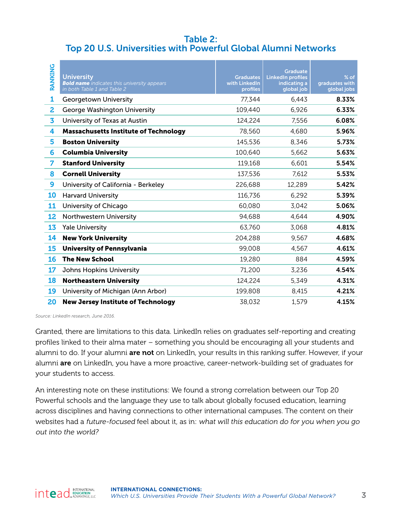#### <span id="page-4-0"></span>Table 2: Top 20 U.S. Universities with Powerful Global Alumni Networks

| <b>RANKING</b> | <b>University</b><br><b>Bold name</b> indicates this university appears<br>in both Table 1 and Table 2 | <b>Graduates</b><br>with LinkedIn<br>profiles | <b>Graduate</b><br><b>LinkedIn profiles</b><br>indicating a<br>global job | $%$ of<br>graduates with<br>global jobs |
|----------------|--------------------------------------------------------------------------------------------------------|-----------------------------------------------|---------------------------------------------------------------------------|-----------------------------------------|
| 1              | <b>Georgetown University</b>                                                                           | 77,344                                        | 6,443                                                                     | 8.33%                                   |
| 2              | George Washington University                                                                           | 109,440                                       | 6,926                                                                     | 6.33%                                   |
| 3              | University of Texas at Austin                                                                          | 124,224                                       | 7,556                                                                     | 6.08%                                   |
| 4              | <b>Massachusetts Institute of Technology</b>                                                           | 78,560                                        | 4,680                                                                     | 5.96%                                   |
| 5              | <b>Boston University</b>                                                                               | 145,536                                       | 8,346                                                                     | 5.73%                                   |
| 6              | <b>Columbia University</b>                                                                             | 100,640                                       | 5,662                                                                     | 5.63%                                   |
| 7              | <b>Stanford University</b>                                                                             | 119,168                                       | 6,601                                                                     | 5.54%                                   |
| 8              | <b>Cornell University</b>                                                                              | 137,536                                       | 7,612                                                                     | 5.53%                                   |
| 9              | University of California - Berkeley                                                                    | 226,688                                       | 12,289                                                                    | 5.42%                                   |
| 10             | <b>Harvard University</b>                                                                              | 116,736                                       | 6,292                                                                     | 5.39%                                   |
| 11             | University of Chicago                                                                                  | 60,080                                        | 3,042                                                                     | 5.06%                                   |
| 12             | Northwestern University                                                                                | 94,688                                        | 4,644                                                                     | 4.90%                                   |
| 13             | <b>Yale University</b>                                                                                 | 63,760                                        | 3,068                                                                     | 4.81%                                   |
| 14             | <b>New York University</b>                                                                             | 204,288                                       | 9,567                                                                     | 4.68%                                   |
| 15             | <b>University of Pennsylvania</b>                                                                      | 99,008                                        | 4,567                                                                     | 4.61%                                   |
| <b>16</b>      | <b>The New School</b>                                                                                  | 19,280                                        | 884                                                                       | 4.59%                                   |
| 17             | <b>Johns Hopkins University</b>                                                                        | 71,200                                        | 3,236                                                                     | 4.54%                                   |
| <b>18</b>      | <b>Northeastern University</b>                                                                         | 124,224                                       | 5,349                                                                     | 4.31%                                   |
| 19             | University of Michigan (Ann Arbor)                                                                     | 199,808                                       | 8,415                                                                     | 4.21%                                   |
| 20             | <b>New Jersey Institute of Technology</b>                                                              | 38,032                                        | 1,579                                                                     | 4.15%                                   |

*Source: LinkedIn research, June 2016.*

Granted, there are limitations to this data. LinkedIn relies on graduates self-reporting and creating profiles linked to their alma mater – something you should be encouraging all your students and alumni to do. If your alumni are not on LinkedIn, your results in this ranking suffer. However, if your alumni **are** on LinkedIn, you have a more proactive, career-network-building set of graduates for your students to access.

An interesting note on these institutions: We found a strong correlation between our Top 20 Powerful schools and the language they use to talk about globally focused education, learning across disciplines and having connections to other international campuses. The content on their websites had a future-focused feel about it, as in: what will this education do for you when you go out into the world?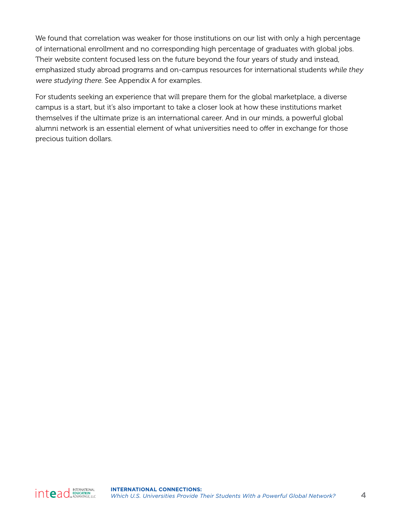We found that correlation was weaker for those institutions on our list with only a high percentage of international enrollment and no corresponding high percentage of graduates with global jobs. Their website content focused less on the future beyond the four years of study and instead, emphasized study abroad programs and on-campus resources for international students while they were studying there. See Appendix A for examples.

For students seeking an experience that will prepare them for the global marketplace, a diverse campus is a start, but it's also important to take a closer look at how these institutions market themselves if the ultimate prize is an international career. And in our minds, a powerful global alumni network is an essential element of what universities need to offer in exchange for those precious tuition dollars.

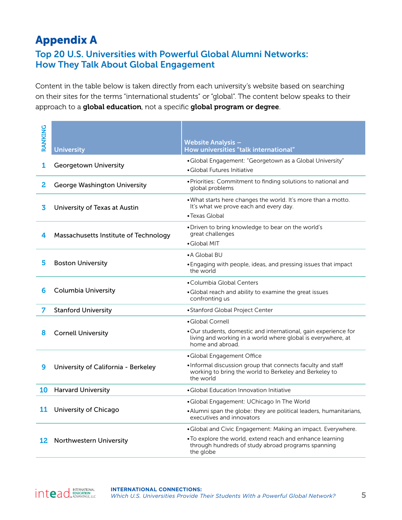## <span id="page-6-0"></span>Appendix A

#### Top 20 U.S. Universities with Powerful Global Alumni Networks: How They Talk About Global Engagement

Content in the table below is taken directly from each university's website based on searching on their sites for the terms "international students" or "global". The content below speaks to their approach to a global education, not a specific global program or degree.

| <b>RANKING</b> | <b>University</b>                     | <b>Website Analysis -</b><br>How universities "talk international"                                                                                  |
|----------------|---------------------------------------|-----------------------------------------------------------------------------------------------------------------------------------------------------|
|                |                                       | • Global Engagement: "Georgetown as a Global University"                                                                                            |
| 1              | Georgetown University                 | • Global Futures Initiative                                                                                                                         |
| 2              | George Washington University          | • Priorities: Commitment to finding solutions to national and<br>global problems                                                                    |
| 3              | University of Texas at Austin         | . What starts here changes the world. It's more than a motto.<br>It's what we prove each and every day.                                             |
|                |                                       | • Texas Global                                                                                                                                      |
| 4              | Massachusetts Institute of Technology | • Driven to bring knowledge to bear on the world's<br>great challenges                                                                              |
|                |                                       | • Global MIT                                                                                                                                        |
|                |                                       | • A Global BU                                                                                                                                       |
| 5              | <b>Boston University</b>              | • Engaging with people, ideas, and pressing issues that impact<br>the world                                                                         |
|                |                                       | • Columbia Global Centers                                                                                                                           |
| 6              | <b>Columbia University</b>            | • Global reach and ability to examine the great issues<br>confronting us                                                                            |
| 7              | <b>Stanford University</b>            | • Stanford Global Project Center                                                                                                                    |
|                |                                       | • Global Cornell                                                                                                                                    |
| 8              | <b>Cornell University</b>             | • Our students, domestic and international, gain experience for<br>living and working in a world where global is everywhere, at<br>home and abroad. |
|                |                                       | · Global Engagement Office                                                                                                                          |
| 9              | University of California - Berkeley   | . Informal discussion group that connects faculty and staff<br>working to bring the world to Berkeley and Berkeley to<br>the world                  |
| 10             | <b>Harvard University</b>             | • Global Education Innovation Initiative                                                                                                            |
|                |                                       | •Global Engagement: UChicago In The World                                                                                                           |
| 11             | University of Chicago                 | • Alumni span the globe: they are political leaders, humanitarians,<br>executives and innovators                                                    |
|                |                                       | • Global and Civic Engagement: Making an impact. Everywhere.                                                                                        |
| 12             | Northwestern University               | . To explore the world, extend reach and enhance learning<br>through hundreds of study abroad programs spanning<br>the globe                        |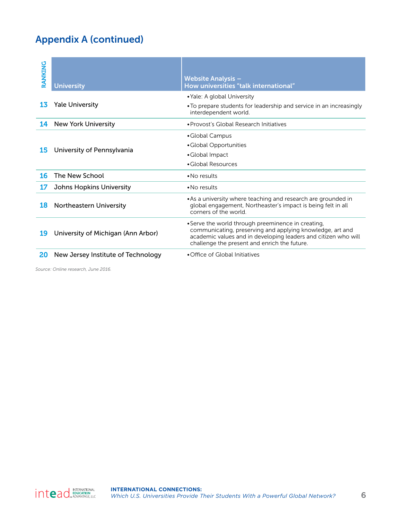## Appendix A (continued)

| RANKING | <b>University</b>                  | <b>Website Analysis -</b><br>How universities "talk international"                                                                                                                                                                |
|---------|------------------------------------|-----------------------------------------------------------------------------------------------------------------------------------------------------------------------------------------------------------------------------------|
| 13      | <b>Yale University</b>             | • Yale: A global University<br>• To prepare students for leadership and service in an increasingly<br>interdependent world.                                                                                                       |
| 14      | <b>New York University</b>         | · Provost's Global Research Initiatives                                                                                                                                                                                           |
| 15      | University of Pennsylvania         | • Global Campus<br>• Global Opportunities<br>• Global Impact<br>• Global Resources                                                                                                                                                |
| 16      | The New School                     | $\bullet$ No results                                                                                                                                                                                                              |
| 17      | <b>Johns Hopkins University</b>    | $\bullet$ No results                                                                                                                                                                                                              |
| 18      | Northeastern University            | • As a university where teaching and research are grounded in<br>global engagement, Northeaster's impact is being felt in all<br>corners of the world.                                                                            |
| 19      | University of Michigan (Ann Arbor) | • Serve the world through preeminence in creating,<br>communicating, preserving and applying knowledge, art and<br>academic values and in developing leaders and citizen who will<br>challenge the present and enrich the future. |
| 20      | New Jersey Institute of Technology | • Office of Global Initiatives                                                                                                                                                                                                    |

*Source: Online research, June 2016.*

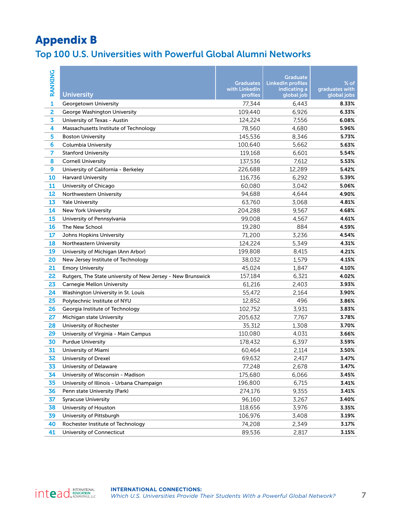## <span id="page-8-0"></span>Appendix B

## Top 100 U.S. Universities with Powerful Global Alumni Networks

| <b>RANKING</b> | <b>University</b>                                           | <b>Graduates</b><br>with LinkedIn<br>profiles | Graduate<br><b>LinkedIn profiles</b><br>indicating a<br>global job | $%$ of<br>graduates with<br>global jobs |
|----------------|-------------------------------------------------------------|-----------------------------------------------|--------------------------------------------------------------------|-----------------------------------------|
| $\mathbf{1}$   | Georgetown University                                       | 77,344                                        | 6,443                                                              | 8.33%                                   |
| 2              | George Washington University                                | 109,440                                       | 6,926                                                              | 6.33%                                   |
| 3              | University of Texas - Austin                                | 124,224                                       | 7,556                                                              | 6.08%                                   |
| 4              | Massachusetts Institute of Technology                       | 78,560                                        | 4,680                                                              | 5.96%                                   |
| 5              | <b>Boston University</b>                                    | 145,536                                       | 8,346                                                              | 5.73%                                   |
| 6              | <b>Columbia University</b>                                  | 100,640                                       | 5,662                                                              | 5.63%                                   |
| 7              | <b>Stanford University</b>                                  | 119,168                                       | 6,601                                                              | 5.54%                                   |
| 8              | <b>Cornell University</b>                                   | 137,536                                       | 7,612                                                              | 5.53%                                   |
| 9              | University of California - Berkeley                         | 226,688                                       | 12,289                                                             | 5.42%                                   |
| 10             | <b>Harvard University</b>                                   | 116,736                                       | 6,292                                                              | 5.39%                                   |
| 11             | University of Chicago                                       | 60,080                                        | 3,042                                                              | 5.06%                                   |
| 12             | Northwestern University                                     | 94,688                                        | 4,644                                                              | 4.90%                                   |
| 13             | <b>Yale University</b>                                      | 63,760                                        | 3,068                                                              | 4.81%                                   |
| 14             | <b>New York University</b>                                  | 204,288                                       | 9,567                                                              | 4.68%                                   |
| 15             | University of Pennsylvania                                  | 99,008                                        | 4,567                                                              | 4.61%                                   |
| 16             | The New School                                              | 19,280                                        | 884                                                                | 4.59%                                   |
| 17             | Johns Hopkins University                                    | 71,200                                        | 3,236                                                              | 4.54%                                   |
| 18             | Northeastern University                                     | 124,224                                       | 5,349                                                              | 4.31%                                   |
| 19             | University of Michigan (Ann Arbor)                          | 199,808                                       | 8,415                                                              | 4.21%                                   |
| 20             | New Jersey Institute of Technology                          | 38,032                                        | 1,579                                                              | 4.15%                                   |
| 21             | <b>Emory University</b>                                     | 45,024                                        | 1,847                                                              | 4.10%                                   |
| 22             | Rutgers, The State university of New Jersey - New Brunswick | 157,184                                       | 6,321                                                              | 4.02%                                   |
| 23             | Carnegie Mellon University                                  | 61,216                                        | 2,403                                                              | 3.93%                                   |
| 24             | Washington University in St. Louis                          | 55,472                                        | 2,164                                                              | 3.90%                                   |
| 25             | Polytechnic Institute of NYU                                | 12,852                                        | 496                                                                | 3.86%                                   |
| 26             | Georgia Institute of Technology                             | 102,752                                       | 3,931                                                              | 3.83%                                   |
| 27             | Michigan state University                                   | 205,632                                       | 7,767                                                              | 3.78%                                   |
| 28             | University of Rochester                                     | 35,312                                        | 1,308                                                              | 3.70%                                   |
| 29             | University of Virginia - Main Campus                        | 110,080                                       | 4.031                                                              | 3.66%                                   |
| 30             | <b>Purdue University</b>                                    | 178,432                                       | 6,397                                                              | 3.59%                                   |
| 31             | University of Miami                                         | 60,464                                        | 2,114                                                              | 3.50%                                   |
| 32             | University of Drexel                                        | 69,632                                        | 2,417                                                              | 3.47%                                   |
| 33             | University of Delaware                                      | 77,248                                        | 2,678                                                              | 3.47%                                   |
| 34             | University of Wisconsin - Madison                           | 175,680                                       | 6,066                                                              | 3.45%                                   |
| 35             | University of Illinois - Urbana Champaign                   | 196,800                                       | 6,715                                                              | 3.41%                                   |
| 36             | Penn state University (Park)                                | 274,176                                       | 9,355                                                              | 3.41%                                   |
| 37             | <b>Syracuse University</b>                                  | 96,160                                        | 3,267                                                              | 3.40%                                   |
| 38             | University of Houston                                       | 118,656                                       | 3,976                                                              | 3.35%                                   |
| 39             | University of Pittsburgh                                    | 106,976                                       | 3,408                                                              | 3.19%                                   |
| 40             | Rochester Institute of Technology                           | 74,208                                        | 2,349                                                              | 3.17%                                   |
| 41             | University of Connecticut                                   | 89,536                                        | 2,817                                                              | 3.15%                                   |

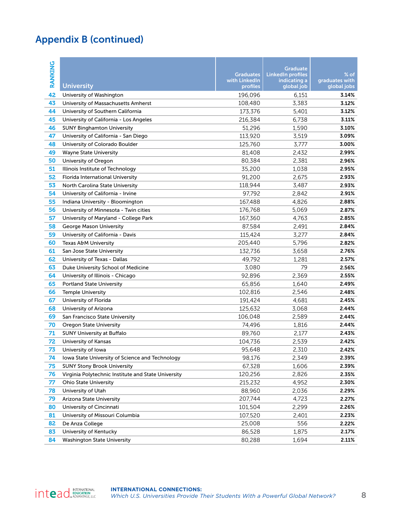## Appendix B (continued)

| <b>RANKING</b> | <b>University</b>                                                                     | <b>Graduates</b><br>with LinkedIn<br>profiles | <b>Graduate</b><br><b>LinkedIn profiles</b><br>indicating a<br>global job | $%$ of<br>graduates with<br>global jobs |
|----------------|---------------------------------------------------------------------------------------|-----------------------------------------------|---------------------------------------------------------------------------|-----------------------------------------|
| 42             | University of Washington                                                              | 196,096                                       | 6,151                                                                     | 3.14%                                   |
| 43             | University of Massachusetts Amherst                                                   | 108,480                                       | 3,383                                                                     | 3.12%                                   |
| 44             | University of Southern California                                                     | 173,376                                       | 5,401                                                                     | 3.12%                                   |
| 45             | University of California - Los Angeles                                                | 216,384                                       | 6,738                                                                     | 3.11%                                   |
| 46             | <b>SUNY Binghamton University</b>                                                     | 51,296                                        | 1,590                                                                     | 3.10%                                   |
| 47             | University of California - San Diego                                                  | 113,920                                       | 3,519                                                                     | 3.09%                                   |
| 48             | University of Colorado Boulder                                                        | 125,760                                       | 3,777                                                                     | 3.00%                                   |
| 49             | <b>Wayne State University</b>                                                         | 81,408                                        | 2,432                                                                     | 2.99%                                   |
| 50             | University of Oregon                                                                  | 80,384                                        | 2,381                                                                     | 2.96%                                   |
| 51             | Illinois Institute of Technology                                                      | 35,200                                        | 1,038                                                                     | 2.95%                                   |
| 52             | Florida International University                                                      | 91,200                                        | 2,675                                                                     | 2.93%                                   |
| 53             | North Carolina State University                                                       | 118,944                                       | 3,487                                                                     | 2.93%                                   |
| 54             | University of California - Irvine                                                     | 97,792                                        | 2,842                                                                     | 2.91%                                   |
| 55             | Indiana University - Bloomington                                                      | 167,488                                       | 4,826                                                                     | 2.88%                                   |
| 56             | University of Minnesota - Twin cities                                                 | 176,768                                       | 5.069                                                                     | 2.87%                                   |
| 57             | University of Maryland - College Park                                                 | 167,360                                       | 4,763                                                                     | 2.85%                                   |
| 58             | George Mason University                                                               | 87,584                                        | 2,491                                                                     | 2.84%                                   |
| 59             | University of California - Davis                                                      | 115.424                                       | 3,277                                                                     | 2.84%                                   |
| 60             | Texas A&M University                                                                  | 205,440                                       | 5,796                                                                     | 2.82%                                   |
| 61             | San Jose State University                                                             | 132,736                                       | 3,658                                                                     | 2.76%                                   |
| 62             | University of Texas - Dallas                                                          | 49,792                                        | 1,281                                                                     | 2.57%                                   |
| 63             | Duke University School of Medicine                                                    | 3,080                                         | 79                                                                        | 2.56%                                   |
| 64             | University of Illinois - Chicago                                                      | 92,896                                        | 2,369                                                                     | 2.55%                                   |
| 65             | <b>Portland State University</b>                                                      | 65,856                                        | 1,640                                                                     | 2.49%                                   |
| 66             | <b>Temple University</b>                                                              | 102,816                                       | 2,546                                                                     | 2.48%                                   |
| 67             | University of Florida                                                                 | 191,424                                       | 4,681                                                                     | 2.45%                                   |
| 68             | University of Arizona                                                                 | 125,632                                       | 3,068                                                                     | 2.44%                                   |
| 69             | San Francisco State University                                                        | 106,048                                       | 2,589                                                                     | 2.44%                                   |
| 70<br>71       | <b>Oregon State University</b>                                                        | 74,496                                        | 1,816                                                                     | 2.44%                                   |
| 72             | <b>SUNY University at Buffalo</b>                                                     | 89,760<br>104,736                             | 2,177                                                                     | 2.43%<br>2.42%                          |
|                | University of Kansas                                                                  |                                               | 2,539                                                                     | 2.42%                                   |
| 73             | University of Iowa                                                                    | 95,648                                        | 2,310                                                                     | 2.39%                                   |
| 74<br>75       | Iowa State University of Science and Technology<br><b>SUNY Stony Brook University</b> | 98,176<br>67,328                              | 2,349<br>1,606                                                            | 2.39%                                   |
| 76             | Virginia Polytechnic Institute and State University                                   | 120,256                                       | 2,826                                                                     | 2.35%                                   |
| 77             | <b>Ohio State University</b>                                                          | 215,232                                       | 4,952                                                                     | 2.30%                                   |
| 78             | University of Utah                                                                    | 88,960                                        | 2,036                                                                     | 2.29%                                   |
| 79             | Arizona State University                                                              | 207,744                                       | 4,723                                                                     | 2.27%                                   |
| 80             | University of Cincinnati                                                              | 101,504                                       | 2,299                                                                     | 2.26%                                   |
| 81             | University of Missouri Columbia                                                       | 107,520                                       | 2,401                                                                     | 2.23%                                   |
| 82             | De Anza College                                                                       | 25,008                                        | 556                                                                       | 2.22%                                   |
| 83             | University of Kentucky                                                                | 86,528                                        | 1,875                                                                     | 2.17%                                   |
| 84             | <b>Washington State University</b>                                                    | 80,288                                        | 1,694                                                                     | 2.11%                                   |

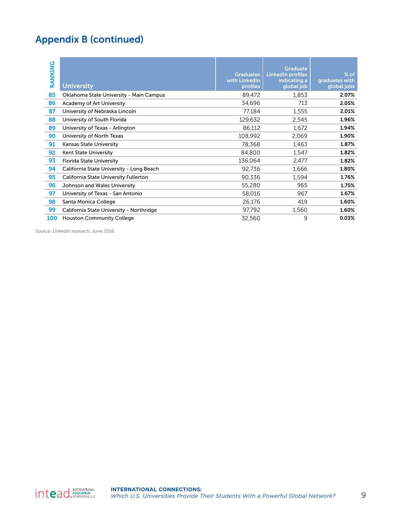## Appendix B (continued)

| <b>RANKING</b> | <b>University</b>                        | <b>Graduates</b><br>with LinkedIn<br>profiles | <b>Graduate</b><br><b>LinkedIn profiles</b><br>indicating a<br>global job | $%$ of<br>graduates with<br>global jobs |
|----------------|------------------------------------------|-----------------------------------------------|---------------------------------------------------------------------------|-----------------------------------------|
| 85             | Oklahoma State University - Main Campus  | 89,472                                        | 1,853                                                                     | 2.07%                                   |
| 86             | Academy of Art University                | 34,696                                        | 713                                                                       | 2.05%                                   |
| 87             | University of Nebraska Lincoln           | 77,184                                        | 1,555                                                                     | 2.01%                                   |
| 88             | University of South Florida              | 129.632                                       | 2,545                                                                     | 1.96%                                   |
| 89             | University of Texas - Arlington          | 86,112                                        | 1,672                                                                     | 1.94%                                   |
| 90             | University of North Texas                | 108,992                                       | 2,069                                                                     | 1.90%                                   |
| 91             | <b>Kansas State University</b>           | 78,368                                        | 1,463                                                                     | 1.87%                                   |
| 92             | <b>Kent State University</b>             | 84.800                                        | 1,547                                                                     | 1.82%                                   |
| 93             | <b>Florida State University</b>          | 136,064                                       | 2,477                                                                     | 1.82%                                   |
| 94             | California State University - Long Beach | 92,736                                        | 1,666                                                                     | 1.80%                                   |
| 95             | California State University Fullerton    | 90,336                                        | 1,594                                                                     | 1.76%                                   |
| 96             | Johnson and Wales University             | 55,280                                        | 965                                                                       | 1.75%                                   |
| 97             | University of Texas - San Antonio        | 58,016                                        | 967                                                                       | 1.67%                                   |
| 98             | Santa Monica College                     | 26,176                                        | 419                                                                       | 1.60%                                   |
| 99             | California State University - Northridge | 97,792                                        | 1,560                                                                     | 1.60%                                   |
| 100            | <b>Houston Community College</b>         | 32,560                                        | 9                                                                         | 0.03%                                   |

*Source: LinkedIn research, June 2016.*